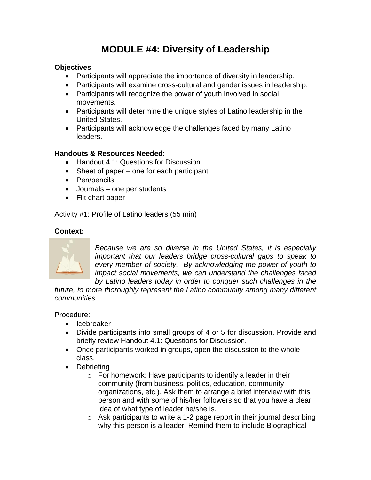# **MODULE #4: Diversity of Leadership**

## **Objectives**

- Participants will appreciate the importance of diversity in leadership.
- Participants will examine cross-cultural and gender issues in leadership.
- Participants will recognize the power of youth involved in social movements.
- Participants will determine the unique styles of Latino leadership in the United States.
- Participants will acknowledge the challenges faced by many Latino leaders.

# **Handouts & Resources Needed:**

- Handout 4.1: Questions for Discussion
- Sheet of paper one for each participant
- Pen/pencils
- Journals one per students
- Flit chart paper

Activity #1: Profile of Latino leaders (55 min)

## **Context:**



*Because we are so diverse in the United States, it is especially important that our leaders bridge cross-cultural gaps to speak to every member of society. By acknowledging the power of youth to impact social movements, we can understand the challenges faced by Latino leaders today in order to conquer such challenges in the* 

future, to more thoroughly represent the Latino community among many different *communities.*

Procedure:

- Icebreaker
- Divide participants into small groups of 4 or 5 for discussion. Provide and briefly review Handout 4.1: Questions for Discussion.
- Once participants worked in groups, open the discussion to the whole class.
- Debriefing
	- $\circ$  For homework: Have participants to identify a leader in their community (from business, politics, education, community organizations, etc.). Ask them to arrange a brief interview with this person and with some of his/her followers so that you have a clear idea of what type of leader he/she is.
	- $\circ$  Ask participants to write a 1-2 page report in their journal describing why this person is a leader. Remind them to include Biographical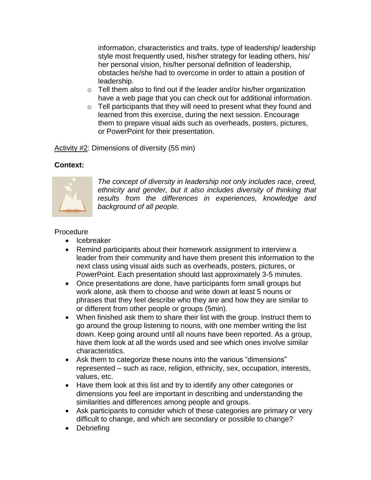information, characteristics and traits, type of leadership/ leadership style most frequently used, his/her strategy for leading others, his/ her personal vision, his/her personal definition of leadership, obstacles he/she had to overcome in order to attain a position of leadership.

- $\circ$  Tell them also to find out if the leader and/or his/her organization have a web page that you can check out for additional information.
- $\circ$  Tell participants that they will need to present what they found and learned from this exercise, during the next session. Encourage them to prepare visual aids such as overheads, posters, pictures, or PowerPoint for their presentation.

Activity #2: Dimensions of diversity (55 min)

## **Context:**



*The concept of diversity in leadership not only includes race, creed, ethnicity and gender, but it also includes diversity of thinking that results from the differences in experiences, knowledge and background of all people.* 

#### Procedure

- Icebreaker
- Remind participants about their homework assignment to interview a leader from their community and have them present this information to the next class using visual aids such as overheads, posters, pictures, or PowerPoint. Each presentation should last approximately 3-5 minutes.
- Once presentations are done, have participants form small groups but work alone, ask them to choose and write down at least 5 nouns or phrases that they feel describe who they are and how they are similar to or different from other people or groups (5min).
- When finished ask them to share their list with the group. Instruct them to go around the group listening to nouns, with one member writing the list down. Keep going around until all nouns have been reported. As a group, have them look at all the words used and see which ones involve similar characteristics.
- Ask them to categorize these nouns into the various "dimensions" represented – such as race, religion, ethnicity, sex, occupation, interests, values, etc.
- Have them look at this list and try to identify any other categories or dimensions you feel are important in describing and understanding the similarities and differences among people and groups.
- Ask participants to consider which of these categories are primary or very difficult to change, and which are secondary or possible to change?
- Debriefing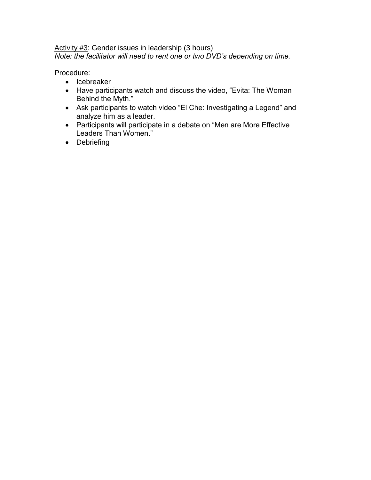#### Activity #3: Gender issues in leadership (3 hours) *Note: the facilitator will need to rent one or two DVD's depending on time.*

Procedure:

- Icebreaker
- Have participants watch and discuss the video, "Evita: The Woman Behind the Myth."
- Ask participants to watch video "El Che: Investigating a Legend" and analyze him as a leader.
- Participants will participate in a debate on "Men are More Effective Leaders Than Women."
- Debriefing